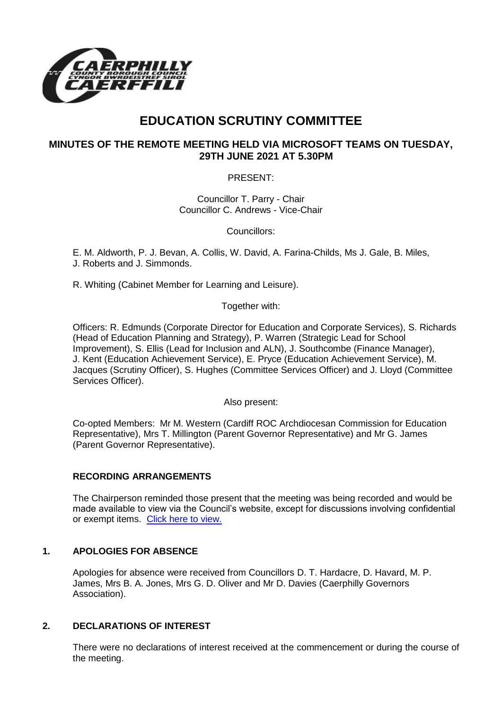

# **EDUCATION SCRUTINY COMMITTEE**

# **MINUTES OF THE REMOTE MEETING HELD VIA MICROSOFT TEAMS ON TUESDAY, 29TH JUNE 2021 AT 5.30PM**

PRESENT:

Councillor T. Parry - Chair Councillor C. Andrews - Vice-Chair

Councillors:

E. M. Aldworth, P. J. Bevan, A. Collis, W. David, A. Farina-Childs, Ms J. Gale, B. Miles, J. Roberts and J. Simmonds.

R. Whiting (Cabinet Member for Learning and Leisure).

Together with:

Officers: R. Edmunds (Corporate Director for Education and Corporate Services), S. Richards (Head of Education Planning and Strategy), P. Warren (Strategic Lead for School Improvement), S. Ellis (Lead for Inclusion and ALN), J. Southcombe (Finance Manager), J. Kent (Education Achievement Service), E. Pryce (Education Achievement Service), M. Jacques (Scrutiny Officer), S. Hughes (Committee Services Officer) and J. Lloyd (Committee Services Officer).

Also present:

Co-opted Members: Mr M. Western (Cardiff ROC Archdiocesan Commission for Education Representative), Mrs T. Millington (Parent Governor Representative) and Mr G. James (Parent Governor Representative).

## **RECORDING ARRANGEMENTS**

The Chairperson reminded those present that the meeting was being recorded and would be made available to view via the Council's website, except for discussions involving confidential or exempt items. [Click here to view.](https://www.caerphilly.gov.uk/My-Council/Meetings,-agendas,-minutes-and-reports/Council-meetings)

# **1. APOLOGIES FOR ABSENCE**

Apologies for absence were received from Councillors D. T. Hardacre, D. Havard, M. P. James, Mrs B. A. Jones, Mrs G. D. Oliver and Mr D. Davies (Caerphilly Governors Association).

# **2. DECLARATIONS OF INTEREST**

There were no declarations of interest received at the commencement or during the course of the meeting.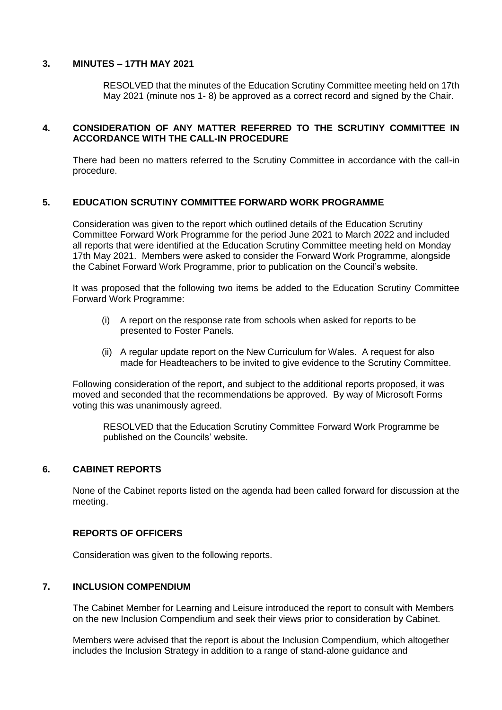#### **3. MINUTES – 17TH MAY 2021**

RESOLVED that the minutes of the Education Scrutiny Committee meeting held on 17th May 2021 (minute nos 1- 8) be approved as a correct record and signed by the Chair.

## **4. CONSIDERATION OF ANY MATTER REFERRED TO THE SCRUTINY COMMITTEE IN ACCORDANCE WITH THE CALL-IN PROCEDURE**

There had been no matters referred to the Scrutiny Committee in accordance with the call-in procedure.

#### **5. EDUCATION SCRUTINY COMMITTEE FORWARD WORK PROGRAMME**

Consideration was given to the report which outlined details of the Education Scrutiny Committee Forward Work Programme for the period June 2021 to March 2022 and included all reports that were identified at the Education Scrutiny Committee meeting held on Monday 17th May 2021. Members were asked to consider the Forward Work Programme, alongside the Cabinet Forward Work Programme, prior to publication on the Council's website.

It was proposed that the following two items be added to the Education Scrutiny Committee Forward Work Programme:

- (i) A report on the response rate from schools when asked for reports to be presented to Foster Panels.
- (ii) A regular update report on the New Curriculum for Wales. A request for also made for Headteachers to be invited to give evidence to the Scrutiny Committee.

Following consideration of the report, and subject to the additional reports proposed, it was moved and seconded that the recommendations be approved. By way of Microsoft Forms voting this was unanimously agreed.

RESOLVED that the Education Scrutiny Committee Forward Work Programme be published on the Councils' website.

#### **6. CABINET REPORTS**

None of the Cabinet reports listed on the agenda had been called forward for discussion at the meeting.

#### **REPORTS OF OFFICERS**

Consideration was given to the following reports.

#### **7. INCLUSION COMPENDIUM**

The Cabinet Member for Learning and Leisure introduced the report to consult with Members on the new Inclusion Compendium and seek their views prior to consideration by Cabinet.

Members were advised that the report is about the Inclusion Compendium, which altogether includes the Inclusion Strategy in addition to a range of stand-alone guidance and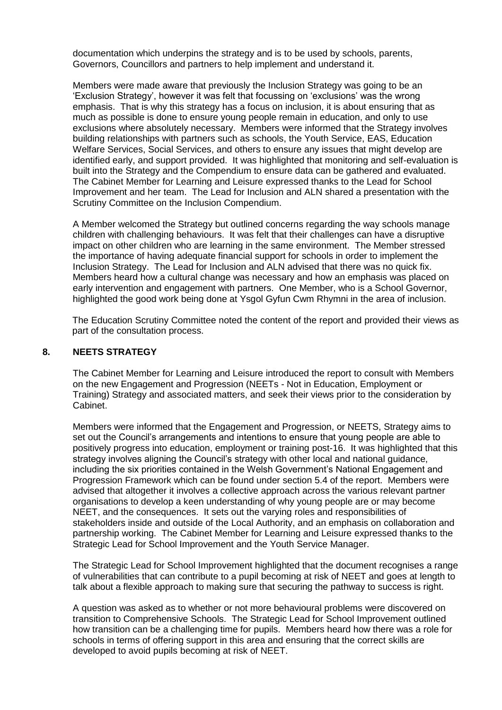documentation which underpins the strategy and is to be used by schools, parents, Governors, Councillors and partners to help implement and understand it.

Members were made aware that previously the Inclusion Strategy was going to be an 'Exclusion Strategy', however it was felt that focussing on 'exclusions' was the wrong emphasis. That is why this strategy has a focus on inclusion, it is about ensuring that as much as possible is done to ensure young people remain in education, and only to use exclusions where absolutely necessary. Members were informed that the Strategy involves building relationships with partners such as schools, the Youth Service, EAS, Education Welfare Services, Social Services, and others to ensure any issues that might develop are identified early, and support provided. It was highlighted that monitoring and self-evaluation is built into the Strategy and the Compendium to ensure data can be gathered and evaluated. The Cabinet Member for Learning and Leisure expressed thanks to the Lead for School Improvement and her team. The Lead for Inclusion and ALN shared a presentation with the Scrutiny Committee on the Inclusion Compendium.

A Member welcomed the Strategy but outlined concerns regarding the way schools manage children with challenging behaviours. It was felt that their challenges can have a disruptive impact on other children who are learning in the same environment. The Member stressed the importance of having adequate financial support for schools in order to implement the Inclusion Strategy. The Lead for Inclusion and ALN advised that there was no quick fix. Members heard how a cultural change was necessary and how an emphasis was placed on early intervention and engagement with partners. One Member, who is a School Governor, highlighted the good work being done at Ysgol Gyfun Cwm Rhymni in the area of inclusion.

The Education Scrutiny Committee noted the content of the report and provided their views as part of the consultation process.

#### **8. NEETS STRATEGY**

The Cabinet Member for Learning and Leisure introduced the report to consult with Members on the new Engagement and Progression (NEETs - Not in Education, Employment or Training) Strategy and associated matters, and seek their views prior to the consideration by Cabinet.

Members were informed that the Engagement and Progression, or NEETS, Strategy aims to set out the Council's arrangements and intentions to ensure that young people are able to positively progress into education, employment or training post-16. It was highlighted that this strategy involves aligning the Council's strategy with other local and national guidance, including the six priorities contained in the Welsh Government's National Engagement and Progression Framework which can be found under section 5.4 of the report. Members were advised that altogether it involves a collective approach across the various relevant partner organisations to develop a keen understanding of why young people are or may become NEET, and the consequences. It sets out the varying roles and responsibilities of stakeholders inside and outside of the Local Authority, and an emphasis on collaboration and partnership working. The Cabinet Member for Learning and Leisure expressed thanks to the Strategic Lead for School Improvement and the Youth Service Manager.

The Strategic Lead for School Improvement highlighted that the document recognises a range of vulnerabilities that can contribute to a pupil becoming at risk of NEET and goes at length to talk about a flexible approach to making sure that securing the pathway to success is right.

A question was asked as to whether or not more behavioural problems were discovered on transition to Comprehensive Schools. The Strategic Lead for School Improvement outlined how transition can be a challenging time for pupils. Members heard how there was a role for schools in terms of offering support in this area and ensuring that the correct skills are developed to avoid pupils becoming at risk of NEET.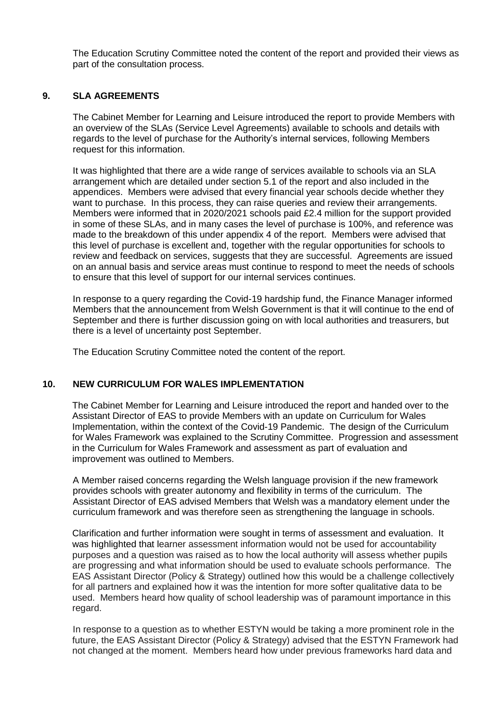The Education Scrutiny Committee noted the content of the report and provided their views as part of the consultation process.

#### **9. SLA AGREEMENTS**

The Cabinet Member for Learning and Leisure introduced the report to provide Members with an overview of the SLAs (Service Level Agreements) available to schools and details with regards to the level of purchase for the Authority's internal services, following Members request for this information.

It was highlighted that there are a wide range of services available to schools via an SLA arrangement which are detailed under section 5.1 of the report and also included in the appendices. Members were advised that every financial year schools decide whether they want to purchase. In this process, they can raise queries and review their arrangements. Members were informed that in 2020/2021 schools paid £2.4 million for the support provided in some of these SLAs, and in many cases the level of purchase is 100%, and reference was made to the breakdown of this under appendix 4 of the report. Members were advised that this level of purchase is excellent and, together with the regular opportunities for schools to review and feedback on services, suggests that they are successful. Agreements are issued on an annual basis and service areas must continue to respond to meet the needs of schools to ensure that this level of support for our internal services continues.

In response to a query regarding the Covid-19 hardship fund, the Finance Manager informed Members that the announcement from Welsh Government is that it will continue to the end of September and there is further discussion going on with local authorities and treasurers, but there is a level of uncertainty post September.

The Education Scrutiny Committee noted the content of the report.

## **10. NEW CURRICULUM FOR WALES IMPLEMENTATION**

The Cabinet Member for Learning and Leisure introduced the report and handed over to the Assistant Director of EAS to provide Members with an update on Curriculum for Wales Implementation, within the context of the Covid-19 Pandemic. The design of the Curriculum for Wales Framework was explained to the Scrutiny Committee. Progression and assessment in the Curriculum for Wales Framework and assessment as part of evaluation and improvement was outlined to Members.

A Member raised concerns regarding the Welsh language provision if the new framework provides schools with greater autonomy and flexibility in terms of the curriculum. The Assistant Director of EAS advised Members that Welsh was a mandatory element under the curriculum framework and was therefore seen as strengthening the language in schools.

Clarification and further information were sought in terms of assessment and evaluation. It was highlighted that learner assessment information would not be used for accountability purposes and a question was raised as to how the local authority will assess whether pupils are progressing and what information should be used to evaluate schools performance. The EAS Assistant Director (Policy & Strategy) outlined how this would be a challenge collectively for all partners and explained how it was the intention for more softer qualitative data to be used. Members heard how quality of school leadership was of paramount importance in this regard.

In response to a question as to whether ESTYN would be taking a more prominent role in the future, the EAS Assistant Director (Policy & Strategy) advised that the ESTYN Framework had not changed at the moment. Members heard how under previous frameworks hard data and